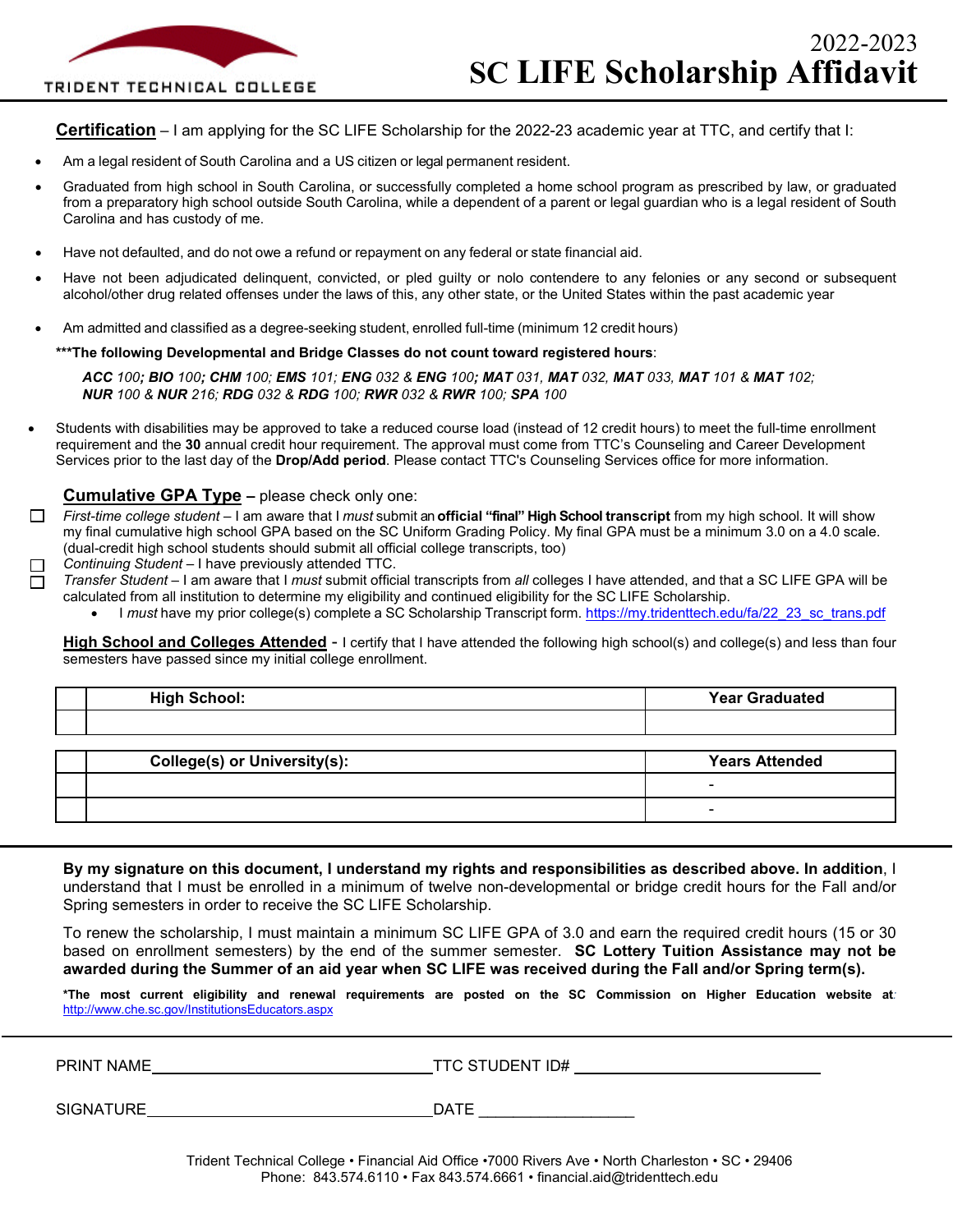#### TRIDENT TECHNICAL COLLEGE

**Certification** – I am applying for the SC LIFE Scholarship for the 2022-23 academic year at TTC, and certify that I:

- Am a legal resident of South Carolina and a US citizen or legal permanent resident.
- Graduated from high school in South Carolina, or successfully completed a home school program as prescribed by law, or graduated from a preparatory high school outside South Carolina, while a dependent of a parent or legal guardian who is a legal resident of South Carolina and has custody of me.
- Have not defaulted, and do not owe a refund or repayment on any federal or state financial aid.
- Have not been adjudicated delinquent, convicted, or pled guilty or nolo contendere to any felonies or any second or subsequent alcohol/other drug related offenses under the laws of this, any other state, or the United States within the past academic year
- Am admitted and classified as a degree-seeking student, enrolled full-time (minimum 12 credit hours)

#### **\*\*\*The following Developmental and Bridge Classes do not count toward registered hours**:

ACC 100; BIO 100; CHM 100; EMS 101; ENG 032 & ENG 100; MAT 031, MAT 032, MAT 033, MAT 101 & MAT 102; *NUR 100 & NUR 216; RDG 032 & RDG 100; RWR 032 & RWR 100; SPA 100*

• Students with disabilities may be approved to take a reduced course load (instead of 12 credit hours) to meet the full-time enrollment requirement and the **30** annual credit hour requirement. The approval must come from TTC's Counseling and Career Development Services prior to the last day of the **Drop/Add period**. Please contact TTC's Counseling Services office for more information.

#### **Cumulative GPA Type –** please check only one:

- *First-time college student* I am aware that I *must* submit an **official "final" High School transcript** from my high school. It will show  $\Box$ my final cumulative high school GPA based on the SC Uniform Grading Policy. My final GPA must be a minimum 3.0 on a 4.0 scale. (dual-credit high school students should submit all official college transcripts, too)
- *Continuing Student* I have previously attended TTC.
- *Transfer Student* I am aware that I *must* submit official transcripts from *all* colleges I have attended, and that a SC LIFE GPA will be calculated from all institution to determine my eligibility and continued eligibility for the SC LIFE Scholarship.
	- I *must* have my prior college(s) complete a SC Scholarship Transcript form. [https://my.tridenttech.edu/fa/22\\_23\\_sc\\_trans.pdf](https://my.tridenttech.edu/fa/22_23_sc_trans.pdf)

**High School and Colleges Attended** - I certify that I have attended the following high school(s) and college(s) and less than four semesters have passed since my initial college enrollment.

| <b>High Scho</b><br>.וש | <b>Year Graduated</b><br>. |
|-------------------------|----------------------------|
|                         |                            |

| <b>College(s) or University(s):</b> | <b>Years Attended</b> |
|-------------------------------------|-----------------------|
|                                     |                       |
|                                     |                       |

**By my signature on this document, I understand my rights and responsibilities as described above. In addition**, I understand that I must be enrolled in a minimum of twelve non-developmental or bridge credit hours for the Fall and/or Spring semesters in order to receive the SC LIFE Scholarship.

To renew the scholarship, I must maintain a minimum SC LIFE GPA of 3.0 and earn the required credit hours (15 or 30 based on enrollment semesters) by the end of the summer semester. **SC Lottery Tuition Assistance may not be awarded during the Summer of an aid year when SC LIFE was received during the Fall and/or Spring term(s).**

**\*The most current eligibility and renewal requirements are posted on the SC Commission on Higher Education website at***:*  <http://www.che.sc.gov/InstitutionsEducators.aspx>

PRINT NAME TTC STUDENT ID# SIGNATURE DATE DATE

> Trident Technical College • Financial Aid Office •7000 Rivers Ave • North Charleston • SC • 29406 Phone: 843.574.6110 • Fax 843.574.6661 • [financial.aid@tridenttech.edu](mailto:financial.aid@tridenttech.edu)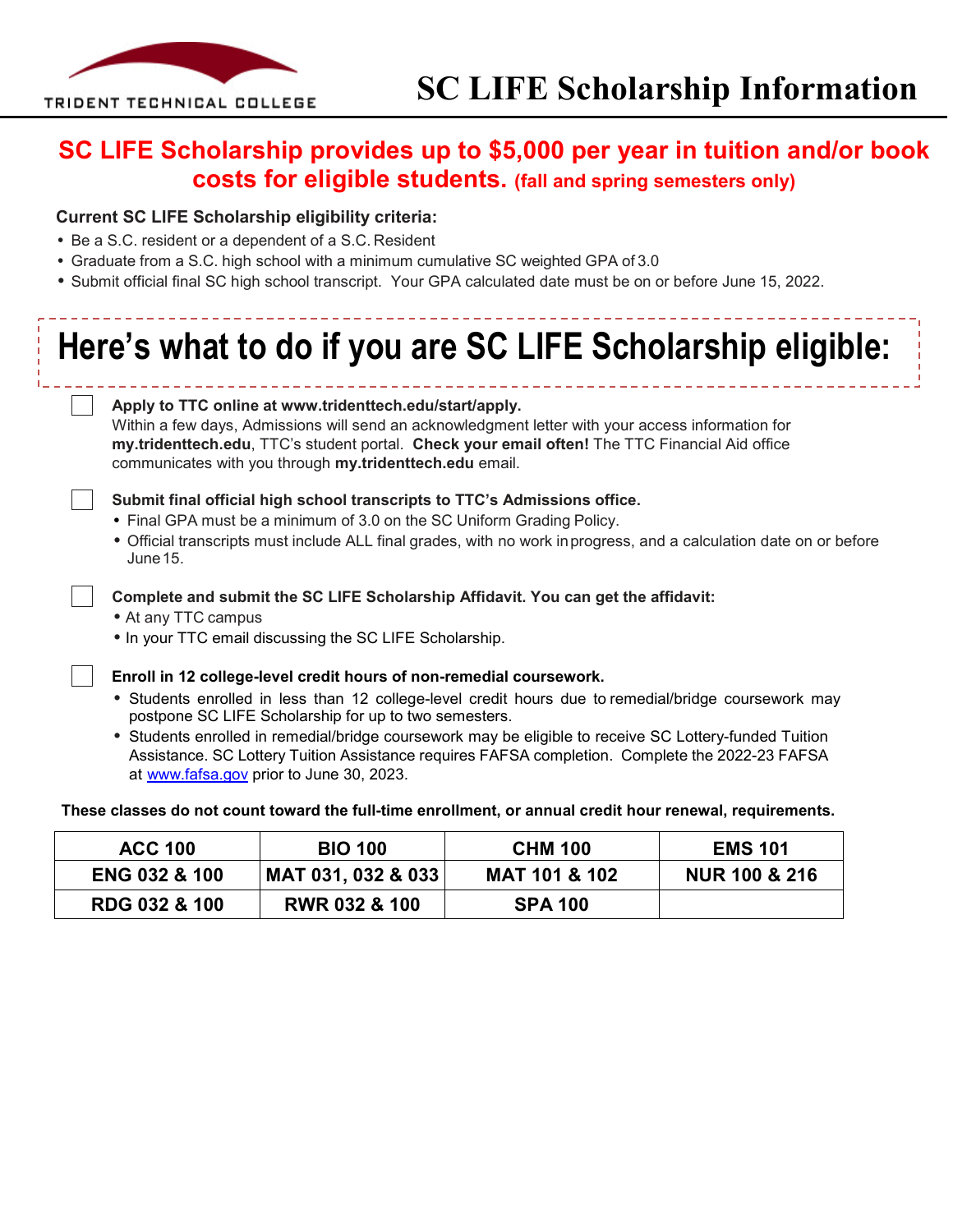

### **SC LIFE Scholarship provides up to \$5,000 per year in tuition and/or book costs for eligible students. (fall and spring semesters only)**

#### **Current SC LIFE Scholarship eligibility criteria:**

- Be a S.C. resident or a dependent of a S.C. Resident
- Graduate from a S.C. high school with a minimum cumulative SC weighted GPA of 3.0
- Submit official final SC high school transcript. Your GPA calculated date must be on or before June 15, 2022.

# **Here's what to do if you are SC LIFE Scholarship eligible:**

#### **Apply to TTC online [at www.tridenttech.edu/start/apply.](http://www.tridenttech.edu/start/apply)** Within a few days, Admissions will send an acknowledgment letter with your access information for

**my.tridenttech.edu**, TTC's student portal. **Check your email often!** The TTC Financial Aid office communicates with you through **my.tridenttech.edu** email.



**Submit final official high school transcripts to TTC's Admissions office.**

- Final GPA must be a minimum of 3.0 on the SC Uniform Grading Policy.
- Official transcripts must include ALL final grades, with no work inprogress, and a calculation date on or before June15.

#### **Complete and submit the SC LIFE Scholarship Affidavit. You can get the affidavit:**

- At any TTC campus
- In your TTC email discussing the SC LIFE Scholarship.

**Enroll in 12 college-level credit hours of non-remedial coursework.** 

- Students enrolled in less than 12 college-level credit hours due to remedial/bridge coursework may postpone SC LIFE Scholarship for up to two semesters.
- Students enrolled in remedial/bridge coursework may be eligible to receive SC Lottery-funded Tuition Assistance. SC Lottery Tuition Assistance requires FAFSA completion. Complete the 2022-23 FAFSA [at](http://www.fafsa.gov/) [www.fafsa.gov](http://www.fafsa.gov/) prior to June 30, 2023.

#### **These classes do not count toward the full-time enrollment, or annual credit hour renewal, requirements.**

| <b>ACC 100</b>           | <b>BIO 100</b>           | <b>CHM 100</b>           | <b>EMS 101</b>           |
|--------------------------|--------------------------|--------------------------|--------------------------|
| <b>ENG 032 &amp; 100</b> | MAT 031, 032 & 033       | <b>MAT 101 &amp; 102</b> | <b>NUR 100 &amp; 216</b> |
| <b>RDG 032 &amp; 100</b> | <b>RWR 032 &amp; 100</b> | <b>SPA 100</b>           |                          |